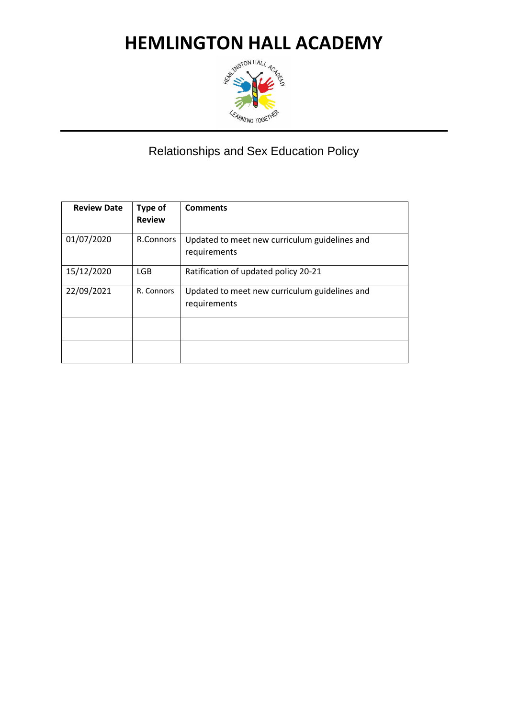

#### Relationships and Sex Education Policy

| <b>Review Date</b> | Type of<br><b>Review</b> | <b>Comments</b>                               |
|--------------------|--------------------------|-----------------------------------------------|
| 01/07/2020         | R.Connors                | Updated to meet new curriculum guidelines and |
|                    |                          | requirements                                  |
| 15/12/2020         | LGB.                     | Ratification of updated policy 20-21          |
| 22/09/2021         | R. Connors               | Updated to meet new curriculum guidelines and |
|                    |                          | requirements                                  |
|                    |                          |                                               |
|                    |                          |                                               |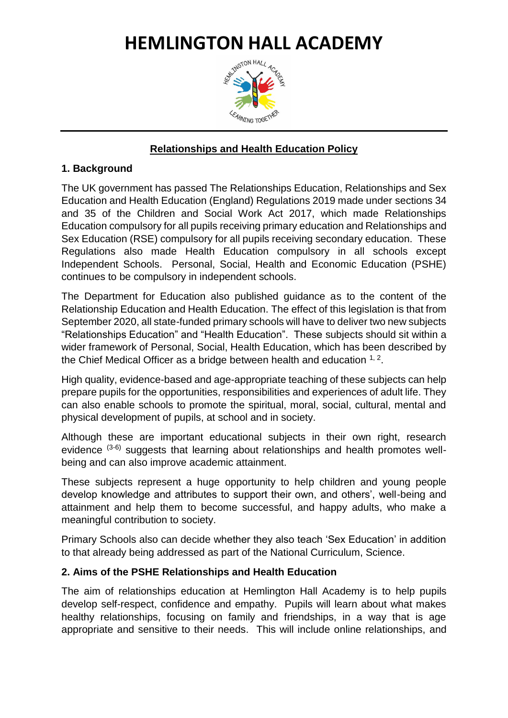## **HEMLINGTON HALL ACADEMY**<br>REMARK AND RESIDENCE AND RESIDENCE



#### **Relationships and Health Education Policy**

#### **1. Background**

The UK government has passed The Relationships Education, Relationships and Sex Education and Health Education (England) Regulations 2019 made under sections 34 and 35 of the Children and Social Work Act 2017, which made Relationships Education compulsory for all pupils receiving primary education and Relationships and Sex Education (RSE) compulsory for all pupils receiving secondary education. These Regulations also made Health Education compulsory in all schools except Independent Schools. Personal, Social, Health and Economic Education (PSHE) continues to be compulsory in independent schools.

The Department for Education also published guidance as to the content of the Relationship Education and Health Education. The effect of this legislation is that from September 2020, all state-funded primary schools will have to deliver two new subjects "Relationships Education" and "Health Education". These subjects should sit within a wider framework of Personal, Social, Health Education, which has been described by the Chief Medical Officer as a bridge between health and education  $1, 2$ .

High quality, evidence-based and age-appropriate teaching of these subjects can help prepare pupils for the opportunities, responsibilities and experiences of adult life. They can also enable schools to promote the spiritual, moral, social, cultural, mental and physical development of pupils, at school and in society.

Although these are important educational subjects in their own right, research evidence (3-6) suggests that learning about relationships and health promotes wellbeing and can also improve academic attainment.

These subjects represent a huge opportunity to help children and young people develop knowledge and attributes to support their own, and others', well-being and attainment and help them to become successful, and happy adults, who make a meaningful contribution to society.

Primary Schools also can decide whether they also teach 'Sex Education' in addition to that already being addressed as part of the National Curriculum, Science.

#### **2. Aims of the PSHE Relationships and Health Education**

The aim of relationships education at Hemlington Hall Academy is to help pupils develop self-respect, confidence and empathy. Pupils will learn about what makes healthy relationships, focusing on family and friendships, in a way that is age appropriate and sensitive to their needs. This will include online relationships, and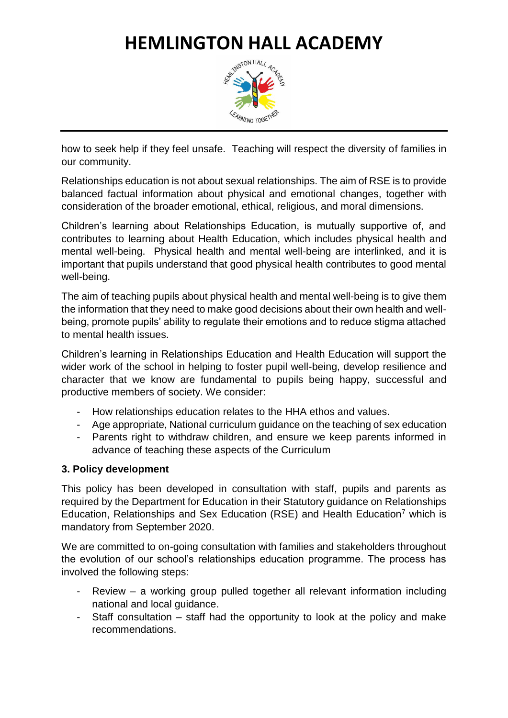

how to seek help if they feel unsafe. Teaching will respect the diversity of families in our community.

Relationships education is not about sexual relationships. The aim of RSE is to provide balanced factual information about physical and emotional changes, together with consideration of the broader emotional, ethical, religious, and moral dimensions.

Children's learning about Relationships Education, is mutually supportive of, and contributes to learning about Health Education, which includes physical health and mental well-being. Physical health and mental well-being are interlinked, and it is important that pupils understand that good physical health contributes to good mental well-being.

The aim of teaching pupils about physical health and mental well-being is to give them the information that they need to make good decisions about their own health and wellbeing, promote pupils' ability to regulate their emotions and to reduce stigma attached to mental health issues.

Children's learning in Relationships Education and Health Education will support the wider work of the school in helping to foster pupil well-being, develop resilience and character that we know are fundamental to pupils being happy, successful and productive members of society. We consider:

- How relationships education relates to the HHA ethos and values.
- Age appropriate, National curriculum guidance on the teaching of sex education
- Parents right to withdraw children, and ensure we keep parents informed in advance of teaching these aspects of the Curriculum

#### **3. Policy development**

This policy has been developed in consultation with staff, pupils and parents as required by the Department for Education in their Statutory guidance on Relationships Education, Relationships and Sex Education (RSE) and Health Education<sup>7</sup> which is mandatory from September 2020.

We are committed to on-going consultation with families and stakeholders throughout the evolution of our school's relationships education programme. The process has involved the following steps:

- $Review a working group pulled together all relevant information including$ national and local guidance.
- Staff consultation staff had the opportunity to look at the policy and make recommendations.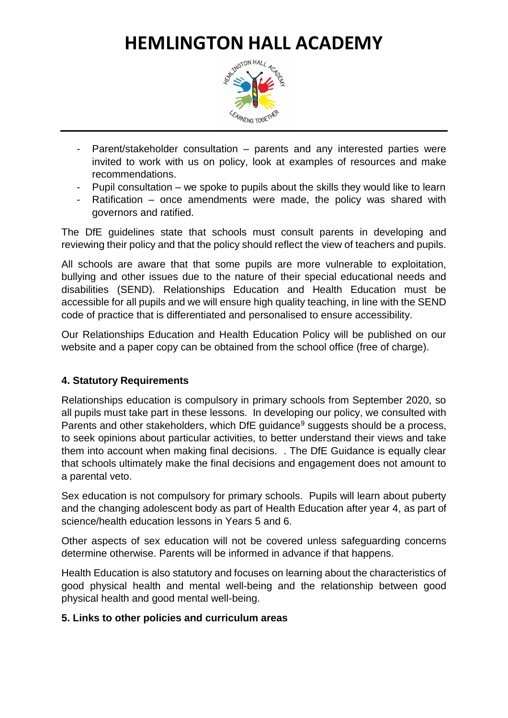### **HEMLINGTON HALL ACADEMY**<br>ANOTON HALL ACADEMY



- Parent/stakeholder consultation parents and any interested parties were invited to work with us on policy, look at examples of resources and make recommendations.
- Pupil consultation we spoke to pupils about the skills they would like to learn
- Ratification once amendments were made, the policy was shared with governors and ratified.

The DfE guidelines state that schools must consult parents in developing and reviewing their policy and that the policy should reflect the view of teachers and pupils.

All schools are aware that that some pupils are more vulnerable to exploitation, bullying and other issues due to the nature of their special educational needs and disabilities (SEND). Relationships Education and Health Education must be accessible for all pupils and we will ensure high quality teaching, in line with the SEND code of practice that is differentiated and personalised to ensure accessibility.

Our Relationships Education and Health Education Policy will be published on our website and a paper copy can be obtained from the school office (free of charge).

#### **4. Statutory Requirements**

Relationships education is compulsory in primary schools from September 2020, so all pupils must take part in these lessons. In developing our policy, we consulted with Parents and other stakeholders, which DfE guidance<sup>9</sup> suggests should be a process, to seek opinions about particular activities, to better understand their views and take them into account when making final decisions. . The DfE Guidance is equally clear that schools ultimately make the final decisions and engagement does not amount to a parental veto.

Sex education is not compulsory for primary schools. Pupils will learn about puberty and the changing adolescent body as part of Health Education after year 4, as part of science/health education lessons in Years 5 and 6.

Other aspects of sex education will not be covered unless safeguarding concerns determine otherwise. Parents will be informed in advance if that happens.

Health Education is also statutory and focuses on learning about the characteristics of good physical health and mental well-being and the relationship between good physical health and good mental well-being.

#### **5. Links to other policies and curriculum areas**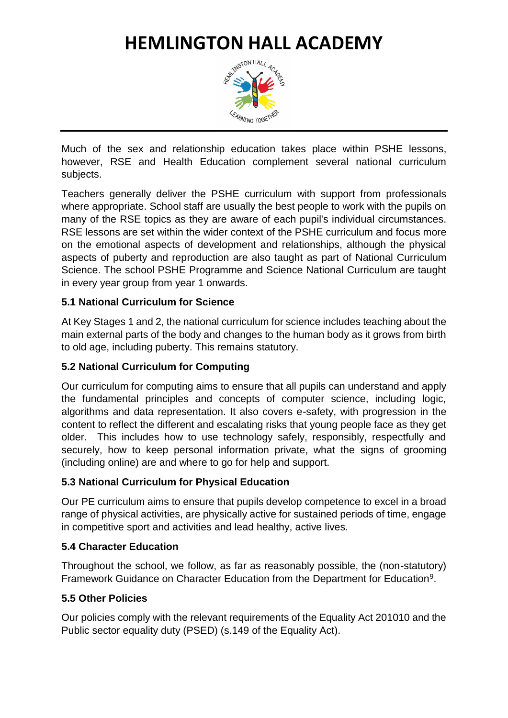## **HEMLINGTON HALL ACADEMY**<br>REMARK AND RESIDENCE AND RESIDENCE AND RESEARCH AND RESEARCH AND RESEARCH AND RESEARCH AND RESEARCH AND RESPONDENCE AND RESPONDENCE AND RESPONDENCE AND RESPONDENCE AND RESPONDENCE AND RESPONDENCE



Much of the sex and relationship education takes place within PSHE lessons, however, RSE and Health Education complement several national curriculum subjects.

Teachers generally deliver the PSHE curriculum with support from professionals where appropriate. School staff are usually the best people to work with the pupils on many of the RSE topics as they are aware of each pupil's individual circumstances. RSE lessons are set within the wider context of the PSHE curriculum and focus more on the emotional aspects of development and relationships, although the physical aspects of puberty and reproduction are also taught as part of National Curriculum Science. The school PSHE Programme and Science National Curriculum are taught in every year group from year 1 onwards.

#### **5.1 National Curriculum for Science**

At Key Stages 1 and 2, the national curriculum for science includes teaching about the main external parts of the body and changes to the human body as it grows from birth to old age, including puberty. This remains statutory.

#### **5.2 National Curriculum for Computing**

Our curriculum for computing aims to ensure that all pupils can understand and apply the fundamental principles and concepts of computer science, including logic, algorithms and data representation. It also covers e-safety, with progression in the content to reflect the different and escalating risks that young people face as they get older. This includes how to use technology safely, responsibly, respectfully and securely, how to keep personal information private, what the signs of grooming (including online) are and where to go for help and support.

#### **5.3 National Curriculum for Physical Education**

Our PE curriculum aims to ensure that pupils develop competence to excel in a broad range of physical activities, are physically active for sustained periods of time, engage in competitive sport and activities and lead healthy, active lives.

#### **5.4 Character Education**

Throughout the school, we follow, as far as reasonably possible, the (non-statutory) Framework Guidance on Character Education from the Department for Education<sup>9</sup>.

#### **5.5 Other Policies**

Our policies comply with the relevant requirements of the Equality Act 201010 and the Public sector equality duty (PSED) (s.149 of the Equality Act).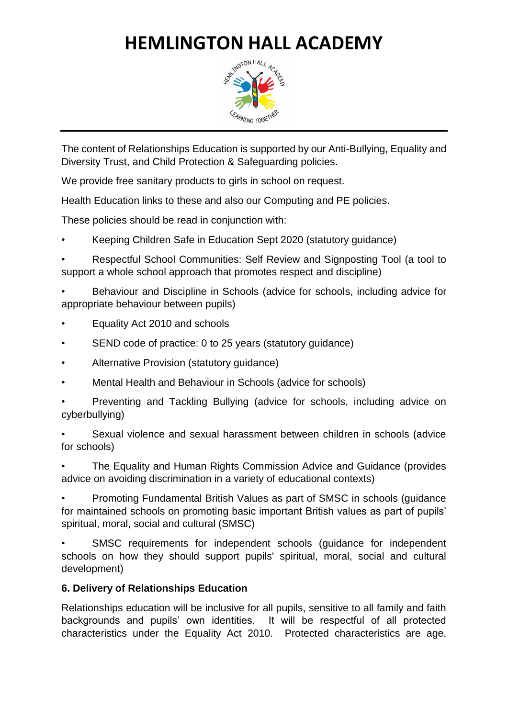

The content of Relationships Education is supported by our Anti-Bullying, Equality and Diversity Trust, and Child Protection & Safeguarding policies.

We provide free sanitary products to girls in school on request.

Health Education links to these and also our Computing and PE policies.

These policies should be read in conjunction with:

• Keeping Children Safe in Education Sept 2020 (statutory guidance)

• Respectful School Communities: Self Review and Signposting Tool (a tool to support a whole school approach that promotes respect and discipline)

• Behaviour and Discipline in Schools (advice for schools, including advice for appropriate behaviour between pupils)

- Equality Act 2010 and schools
- SEND code of practice: 0 to 25 years (statutory quidance)
- Alternative Provision (statutory guidance)
- Mental Health and Behaviour in Schools (advice for schools)

• Preventing and Tackling Bullying (advice for schools, including advice on cyberbullying)

• Sexual violence and sexual harassment between children in schools (advice for schools)

• The Equality and Human Rights Commission Advice and Guidance (provides advice on avoiding discrimination in a variety of educational contexts)

• Promoting Fundamental British Values as part of SMSC in schools (guidance for maintained schools on promoting basic important British values as part of pupils' spiritual, moral, social and cultural (SMSC)

SMSC requirements for independent schools (guidance for independent schools on how they should support pupils' spiritual, moral, social and cultural development)

#### **6. Delivery of Relationships Education**

Relationships education will be inclusive for all pupils, sensitive to all family and faith backgrounds and pupils' own identities. It will be respectful of all protected characteristics under the Equality Act 2010. Protected characteristics are age,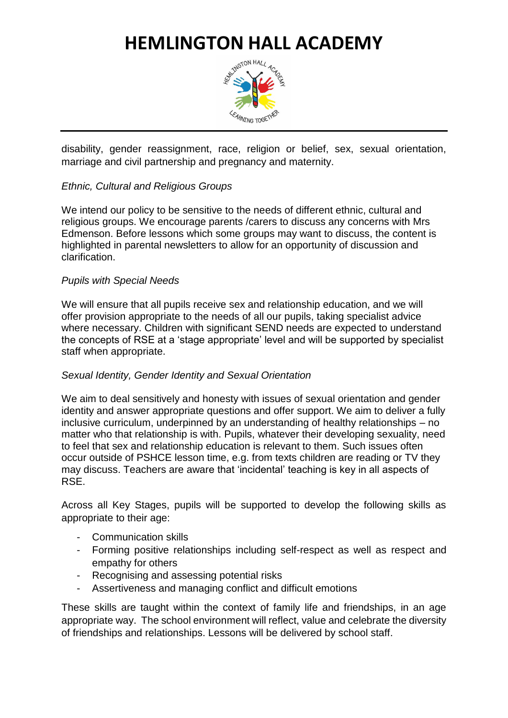### **HEMLINGTON HALL ACADEMY**<br>ANOTON HALL ACADEMY



disability, gender reassignment, race, religion or belief, sex, sexual orientation, marriage and civil partnership and pregnancy and maternity.

#### *Ethnic, Cultural and Religious Groups*

We intend our policy to be sensitive to the needs of different ethnic, cultural and religious groups. We encourage parents /carers to discuss any concerns with Mrs Edmenson. Before lessons which some groups may want to discuss, the content is highlighted in parental newsletters to allow for an opportunity of discussion and clarification.

#### *Pupils with Special Needs*

We will ensure that all pupils receive sex and relationship education, and we will offer provision appropriate to the needs of all our pupils, taking specialist advice where necessary. Children with significant SEND needs are expected to understand the concepts of RSE at a 'stage appropriate' level and will be supported by specialist staff when appropriate.

#### *Sexual Identity, Gender Identity and Sexual Orientation*

We aim to deal sensitively and honesty with issues of sexual orientation and gender identity and answer appropriate questions and offer support. We aim to deliver a fully inclusive curriculum, underpinned by an understanding of healthy relationships – no matter who that relationship is with. Pupils, whatever their developing sexuality, need to feel that sex and relationship education is relevant to them. Such issues often occur outside of PSHCE lesson time, e.g. from texts children are reading or TV they may discuss. Teachers are aware that 'incidental' teaching is key in all aspects of RSE.

Across all Key Stages, pupils will be supported to develop the following skills as appropriate to their age:

- Communication skills
- Forming positive relationships including self-respect as well as respect and empathy for others
- Recognising and assessing potential risks
- Assertiveness and managing conflict and difficult emotions

These skills are taught within the context of family life and friendships, in an age appropriate way. The school environment will reflect, value and celebrate the diversity of friendships and relationships. Lessons will be delivered by school staff.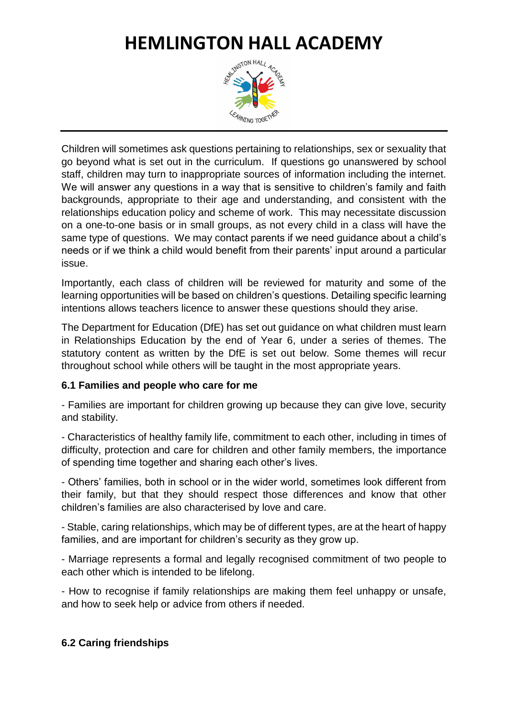### **HEMLINGTON HALL ACADEMY**<br>ANGLE ACADEMY



Children will sometimes ask questions pertaining to relationships, sex or sexuality that go beyond what is set out in the curriculum. If questions go unanswered by school staff, children may turn to inappropriate sources of information including the internet. We will answer any questions in a way that is sensitive to children's family and faith backgrounds, appropriate to their age and understanding, and consistent with the relationships education policy and scheme of work. This may necessitate discussion on a one-to-one basis or in small groups, as not every child in a class will have the same type of questions. We may contact parents if we need guidance about a child's needs or if we think a child would benefit from their parents' input around a particular issue.

Importantly, each class of children will be reviewed for maturity and some of the learning opportunities will be based on children's questions. Detailing specific learning intentions allows teachers licence to answer these questions should they arise.

The Department for Education (DfE) has set out guidance on what children must learn in Relationships Education by the end of Year 6, under a series of themes. The statutory content as written by the DfE is set out below. Some themes will recur throughout school while others will be taught in the most appropriate years.

#### **6.1 Families and people who care for me**

- Families are important for children growing up because they can give love, security and stability.

- Characteristics of healthy family life, commitment to each other, including in times of difficulty, protection and care for children and other family members, the importance of spending time together and sharing each other's lives.

- Others' families, both in school or in the wider world, sometimes look different from their family, but that they should respect those differences and know that other children's families are also characterised by love and care.

- Stable, caring relationships, which may be of different types, are at the heart of happy families, and are important for children's security as they grow up.

- Marriage represents a formal and legally recognised commitment of two people to each other which is intended to be lifelong.

- How to recognise if family relationships are making them feel unhappy or unsafe, and how to seek help or advice from others if needed.

#### **6.2 Caring friendships**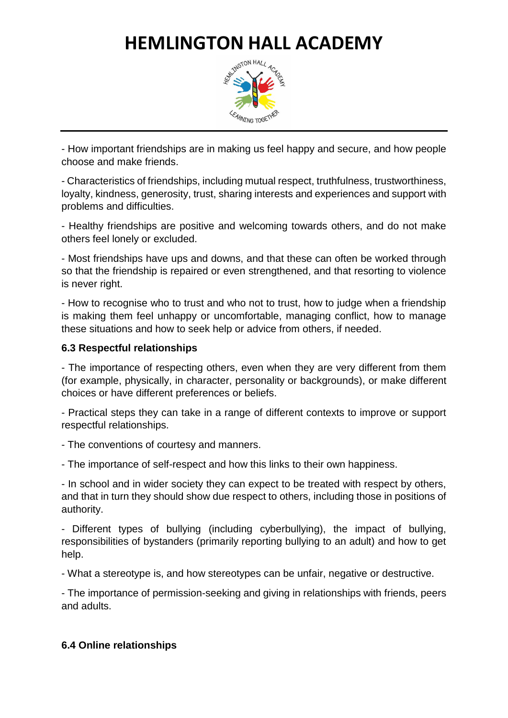

- How important friendships are in making us feel happy and secure, and how people choose and make friends.

- Characteristics of friendships, including mutual respect, truthfulness, trustworthiness, loyalty, kindness, generosity, trust, sharing interests and experiences and support with problems and difficulties.

- Healthy friendships are positive and welcoming towards others, and do not make others feel lonely or excluded.

- Most friendships have ups and downs, and that these can often be worked through so that the friendship is repaired or even strengthened, and that resorting to violence is never right.

- How to recognise who to trust and who not to trust, how to judge when a friendship is making them feel unhappy or uncomfortable, managing conflict, how to manage these situations and how to seek help or advice from others, if needed.

#### **6.3 Respectful relationships**

- The importance of respecting others, even when they are very different from them (for example, physically, in character, personality or backgrounds), or make different choices or have different preferences or beliefs.

- Practical steps they can take in a range of different contexts to improve or support respectful relationships.

- The conventions of courtesy and manners.

- The importance of self-respect and how this links to their own happiness.

- In school and in wider society they can expect to be treated with respect by others, and that in turn they should show due respect to others, including those in positions of authority.

- Different types of bullying (including cyberbullying), the impact of bullying, responsibilities of bystanders (primarily reporting bullying to an adult) and how to get help.

- What a stereotype is, and how stereotypes can be unfair, negative or destructive.

- The importance of permission-seeking and giving in relationships with friends, peers and adults.

#### **6.4 Online relationships**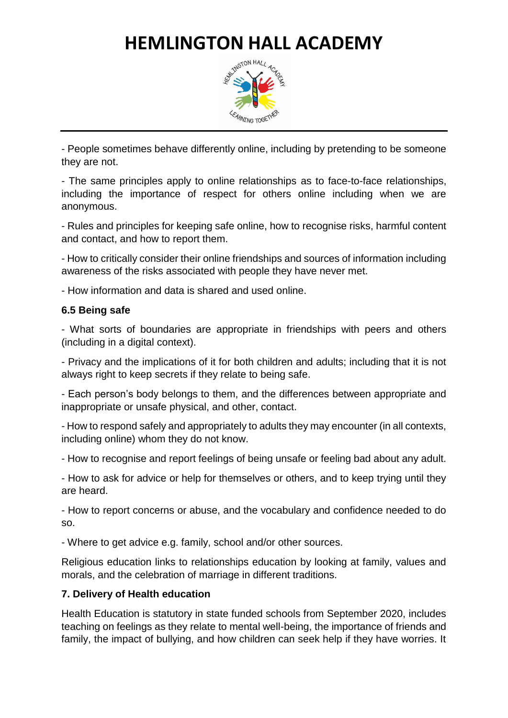

- People sometimes behave differently online, including by pretending to be someone they are not.

- The same principles apply to online relationships as to face-to-face relationships, including the importance of respect for others online including when we are anonymous.

- Rules and principles for keeping safe online, how to recognise risks, harmful content and contact, and how to report them.

- How to critically consider their online friendships and sources of information including awareness of the risks associated with people they have never met.

- How information and data is shared and used online.

#### **6.5 Being safe**

- What sorts of boundaries are appropriate in friendships with peers and others (including in a digital context).

- Privacy and the implications of it for both children and adults; including that it is not always right to keep secrets if they relate to being safe.

- Each person's body belongs to them, and the differences between appropriate and inappropriate or unsafe physical, and other, contact.

- How to respond safely and appropriately to adults they may encounter (in all contexts, including online) whom they do not know.

- How to recognise and report feelings of being unsafe or feeling bad about any adult.

- How to ask for advice or help for themselves or others, and to keep trying until they are heard.

- How to report concerns or abuse, and the vocabulary and confidence needed to do so.

- Where to get advice e.g. family, school and/or other sources.

Religious education links to relationships education by looking at family, values and morals, and the celebration of marriage in different traditions.

#### **7. Delivery of Health education**

Health Education is statutory in state funded schools from September 2020, includes teaching on feelings as they relate to mental well-being, the importance of friends and family, the impact of bullying, and how children can seek help if they have worries. It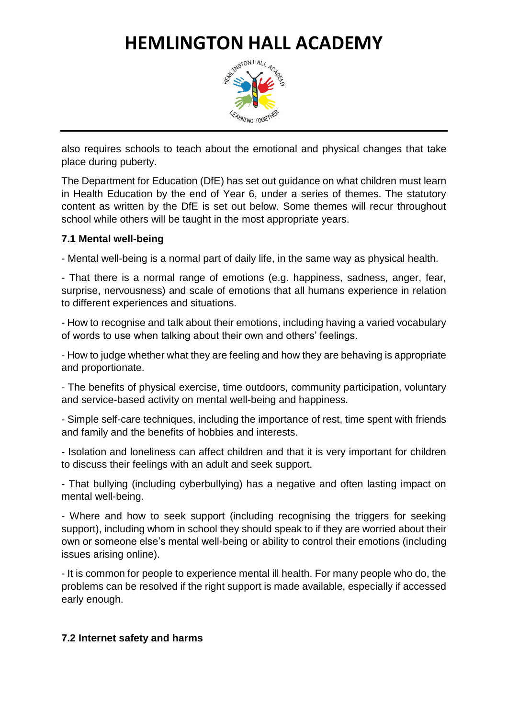

also requires schools to teach about the emotional and physical changes that take place during puberty.

The Department for Education (DfE) has set out guidance on what children must learn in Health Education by the end of Year 6, under a series of themes. The statutory content as written by the DfE is set out below. Some themes will recur throughout school while others will be taught in the most appropriate years.

#### **7.1 Mental well-being**

- Mental well-being is a normal part of daily life, in the same way as physical health.

- That there is a normal range of emotions (e.g. happiness, sadness, anger, fear, surprise, nervousness) and scale of emotions that all humans experience in relation to different experiences and situations.

- How to recognise and talk about their emotions, including having a varied vocabulary of words to use when talking about their own and others' feelings.

- How to judge whether what they are feeling and how they are behaving is appropriate and proportionate.

- The benefits of physical exercise, time outdoors, community participation, voluntary and service-based activity on mental well-being and happiness.

- Simple self-care techniques, including the importance of rest, time spent with friends and family and the benefits of hobbies and interests.

- Isolation and loneliness can affect children and that it is very important for children to discuss their feelings with an adult and seek support.

- That bullying (including cyberbullying) has a negative and often lasting impact on mental well-being.

- Where and how to seek support (including recognising the triggers for seeking support), including whom in school they should speak to if they are worried about their own or someone else's mental well-being or ability to control their emotions (including issues arising online).

- It is common for people to experience mental ill health. For many people who do, the problems can be resolved if the right support is made available, especially if accessed early enough.

#### **7.2 Internet safety and harms**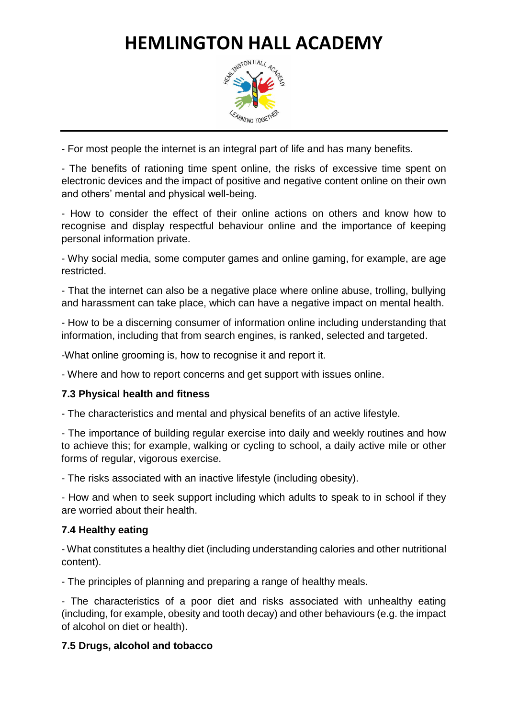

- For most people the internet is an integral part of life and has many benefits.

- The benefits of rationing time spent online, the risks of excessive time spent on electronic devices and the impact of positive and negative content online on their own and others' mental and physical well-being.

- How to consider the effect of their online actions on others and know how to recognise and display respectful behaviour online and the importance of keeping personal information private.

- Why social media, some computer games and online gaming, for example, are age restricted.

- That the internet can also be a negative place where online abuse, trolling, bullying and harassment can take place, which can have a negative impact on mental health.

- How to be a discerning consumer of information online including understanding that information, including that from search engines, is ranked, selected and targeted.

-What online grooming is, how to recognise it and report it.

- Where and how to report concerns and get support with issues online.

#### **7.3 Physical health and fitness**

- The characteristics and mental and physical benefits of an active lifestyle.

- The importance of building regular exercise into daily and weekly routines and how to achieve this; for example, walking or cycling to school, a daily active mile or other forms of regular, vigorous exercise.

- The risks associated with an inactive lifestyle (including obesity).

- How and when to seek support including which adults to speak to in school if they are worried about their health.

#### **7.4 Healthy eating**

- What constitutes a healthy diet (including understanding calories and other nutritional content).

- The principles of planning and preparing a range of healthy meals.

- The characteristics of a poor diet and risks associated with unhealthy eating (including, for example, obesity and tooth decay) and other behaviours (e.g. the impact of alcohol on diet or health).

#### **7.5 Drugs, alcohol and tobacco**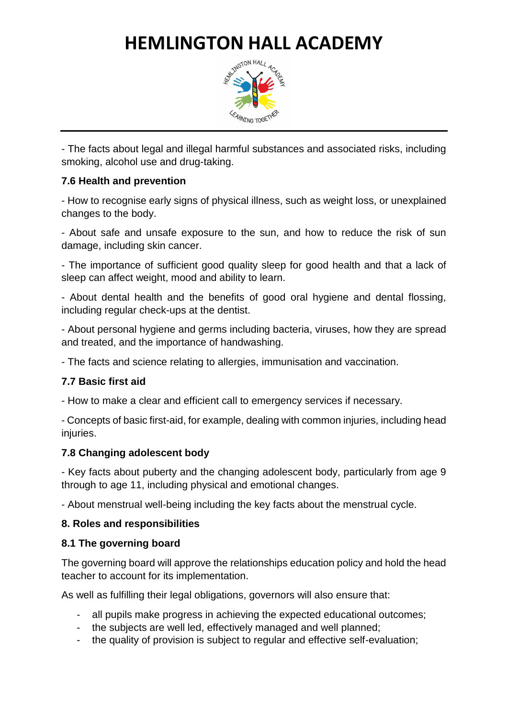

- The facts about legal and illegal harmful substances and associated risks, including smoking, alcohol use and drug-taking.

#### **7.6 Health and prevention**

- How to recognise early signs of physical illness, such as weight loss, or unexplained changes to the body.

- About safe and unsafe exposure to the sun, and how to reduce the risk of sun damage, including skin cancer.

- The importance of sufficient good quality sleep for good health and that a lack of sleep can affect weight, mood and ability to learn.

- About dental health and the benefits of good oral hygiene and dental flossing, including regular check-ups at the dentist.

- About personal hygiene and germs including bacteria, viruses, how they are spread and treated, and the importance of handwashing.

- The facts and science relating to allergies, immunisation and vaccination.

#### **7.7 Basic first aid**

- How to make a clear and efficient call to emergency services if necessary.

- Concepts of basic first-aid, for example, dealing with common injuries, including head injuries.

#### **7.8 Changing adolescent body**

- Key facts about puberty and the changing adolescent body, particularly from age 9 through to age 11, including physical and emotional changes.

- About menstrual well-being including the key facts about the menstrual cycle.

#### **8. Roles and responsibilities**

#### **8.1 The governing board**

The governing board will approve the relationships education policy and hold the head teacher to account for its implementation.

As well as fulfilling their legal obligations, governors will also ensure that:

- all pupils make progress in achieving the expected educational outcomes;
- the subjects are well led, effectively managed and well planned;
- the quality of provision is subject to regular and effective self-evaluation;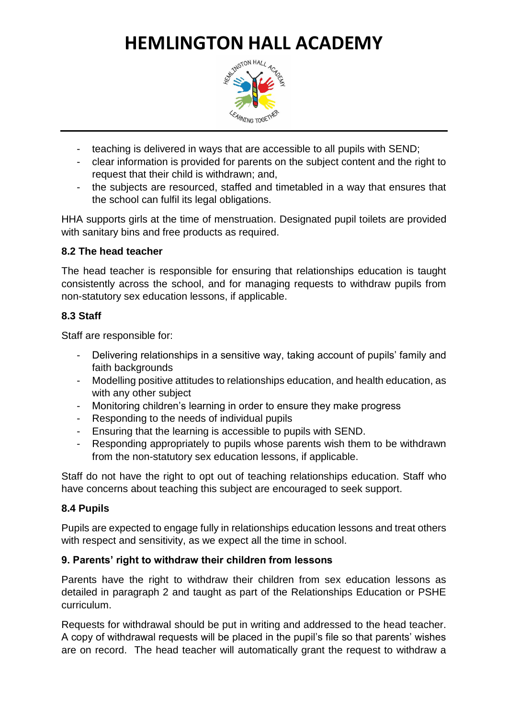

- teaching is delivered in ways that are accessible to all pupils with SEND;
- clear information is provided for parents on the subject content and the right to request that their child is withdrawn; and,
- the subjects are resourced, staffed and timetabled in a way that ensures that the school can fulfil its legal obligations.

HHA supports girls at the time of menstruation. Designated pupil toilets are provided with sanitary bins and free products as required.

#### **8.2 The head teacher**

The head teacher is responsible for ensuring that relationships education is taught consistently across the school, and for managing requests to withdraw pupils from non-statutory sex education lessons, if applicable.

#### **8.3 Staff**

Staff are responsible for:

- Delivering relationships in a sensitive way, taking account of pupils' family and faith backgrounds
- Modelling positive attitudes to relationships education, and health education, as with any other subject
- Monitoring children's learning in order to ensure they make progress
- Responding to the needs of individual pupils
- Ensuring that the learning is accessible to pupils with SEND.
- Responding appropriately to pupils whose parents wish them to be withdrawn from the non-statutory sex education lessons, if applicable.

Staff do not have the right to opt out of teaching relationships education. Staff who have concerns about teaching this subject are encouraged to seek support.

#### **8.4 Pupils**

Pupils are expected to engage fully in relationships education lessons and treat others with respect and sensitivity, as we expect all the time in school.

#### **9. Parents' right to withdraw their children from lessons**

Parents have the right to withdraw their children from sex education lessons as detailed in paragraph 2 and taught as part of the Relationships Education or PSHE curriculum.

Requests for withdrawal should be put in writing and addressed to the head teacher. A copy of withdrawal requests will be placed in the pupil's file so that parents' wishes are on record. The head teacher will automatically grant the request to withdraw a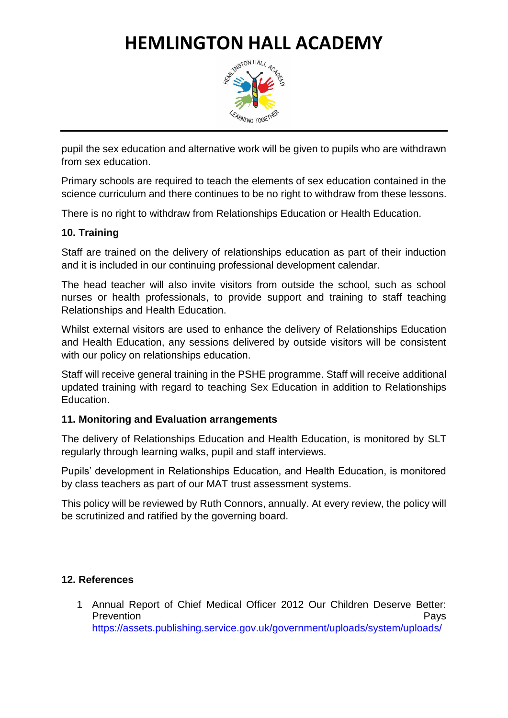

pupil the sex education and alternative work will be given to pupils who are withdrawn from sex education.

Primary schools are required to teach the elements of sex education contained in the science curriculum and there continues to be no right to withdraw from these lessons.

There is no right to withdraw from Relationships Education or Health Education.

#### **10. Training**

Staff are trained on the delivery of relationships education as part of their induction and it is included in our continuing professional development calendar.

The head teacher will also invite visitors from outside the school, such as school nurses or health professionals, to provide support and training to staff teaching Relationships and Health Education.

Whilst external visitors are used to enhance the delivery of Relationships Education and Health Education, any sessions delivered by outside visitors will be consistent with our policy on relationships education.

Staff will receive general training in the PSHE programme. Staff will receive additional updated training with regard to teaching Sex Education in addition to Relationships Education.

#### **11. Monitoring and Evaluation arrangements**

The delivery of Relationships Education and Health Education, is monitored by SLT regularly through learning walks, pupil and staff interviews.

Pupils' development in Relationships Education, and Health Education, is monitored by class teachers as part of our MAT trust assessment systems.

This policy will be reviewed by Ruth Connors, annually. At every review, the policy will be scrutinized and ratified by the governing board.

#### **12. References**

1 Annual Report of Chief Medical Officer 2012 Our Children Deserve Better: Prevention **Prevention** [https://assets.publishing.service.gov.uk/government/uploads/system/uploads/](https://assets.publishing.service.gov.uk/government/uploads/system/uploads/attachment_data/file/255237/2901304_CMO_complete_low_res_accessible.pdf)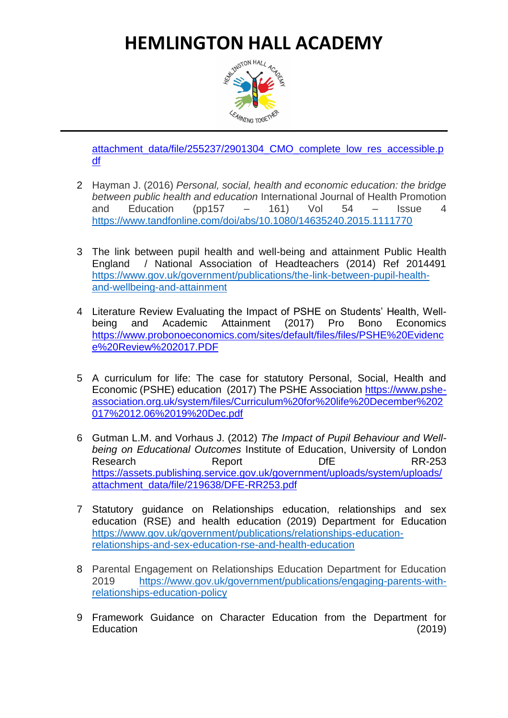

[attachment\\_data/file/255237/2901304\\_CMO\\_complete\\_low\\_res\\_accessible.p](https://assets.publishing.service.gov.uk/government/uploads/system/uploads/attachment_data/file/255237/2901304_CMO_complete_low_res_accessible.pdf) [df](https://assets.publishing.service.gov.uk/government/uploads/system/uploads/attachment_data/file/255237/2901304_CMO_complete_low_res_accessible.pdf)

- 2 Hayman J. (2016) *Personal, social, health and economic education: the bridge between public health and education* International Journal of Health Promotion and Education (pp157  $-$  161) Vol 54  $-$  Issue 4 <https://www.tandfonline.com/doi/abs/10.1080/14635240.2015.1111770>
- 3 The link between pupil health and well-being and attainment Public Health England / National Association of Headteachers (2014) Ref 2014491 [https://www.gov.uk/government/publications/the-link-between-pupil-health](https://www.gov.uk/government/publications/the-link-between-pupil-health-and-wellbeing-and-attainment)[and-wellbeing-and-attainment](https://www.gov.uk/government/publications/the-link-between-pupil-health-and-wellbeing-and-attainment)
- 4 Literature Review Evaluating the Impact of PSHE on Students' Health, Wellbeing and Academic Attainment (2017) Pro Bono Economics [https://www.probonoeconomics.com/sites/default/files/files/PSHE%20Evidenc](https://www.probonoeconomics.com/sites/default/files/files/PSHE%20Evidence%20Review%202017.PDF) [e%20Review%202017.PDF](https://www.probonoeconomics.com/sites/default/files/files/PSHE%20Evidence%20Review%202017.PDF)
- 5 A curriculum for life: The case for statutory Personal, Social, Health and Economic (PSHE) education (2017) The PSHE Association [https://www.pshe](https://www.pshe-association.org.uk/system/files/Curriculum%20for%20life%20December%202017%2012.06%2019%20Dec.pdf)[association.org.uk/system/files/Curriculum%20for%20life%20December%202](https://www.pshe-association.org.uk/system/files/Curriculum%20for%20life%20December%202017%2012.06%2019%20Dec.pdf) [017%2012.06%2019%20Dec.pdf](https://www.pshe-association.org.uk/system/files/Curriculum%20for%20life%20December%202017%2012.06%2019%20Dec.pdf)
- 6 Gutman L.M. and Vorhaus J. (2012) *The Impact of Pupil Behaviour and Wellbeing on Educational Outcomes* Institute of Education, University of London Research Report DfE RR-253 [https://assets.publishing.service.gov.uk/government/uploads/system/uploads/](https://assets.publishing.service.gov.uk/government/uploads/system/uploads/attachment_data/file/219638/DFE-RR253.pdf) [attachment\\_data/file/219638/DFE-RR253.pdf](https://assets.publishing.service.gov.uk/government/uploads/system/uploads/attachment_data/file/219638/DFE-RR253.pdf)
- 7 Statutory guidance on Relationships education, relationships and sex education (RSE) and health education (2019) Department for Education [https://www.gov.uk/government/publications/relationships-education](https://www.gov.uk/government/publications/relationships-education-relationships-and-sex-education-rse-and-health-education)[relationships-and-sex-education-rse-and-health-education](https://www.gov.uk/government/publications/relationships-education-relationships-and-sex-education-rse-and-health-education)
- 8 Parental Engagement on Relationships Education Department for Education 2019 [https://www.gov.uk/government/publications/engaging-parents-with](https://www.gov.uk/government/publications/engaging-parents-with-relationships-education-policy)[relationships-education-policy](https://www.gov.uk/government/publications/engaging-parents-with-relationships-education-policy)
- 9 Framework Guidance on Character Education from the Department for Education (2019)